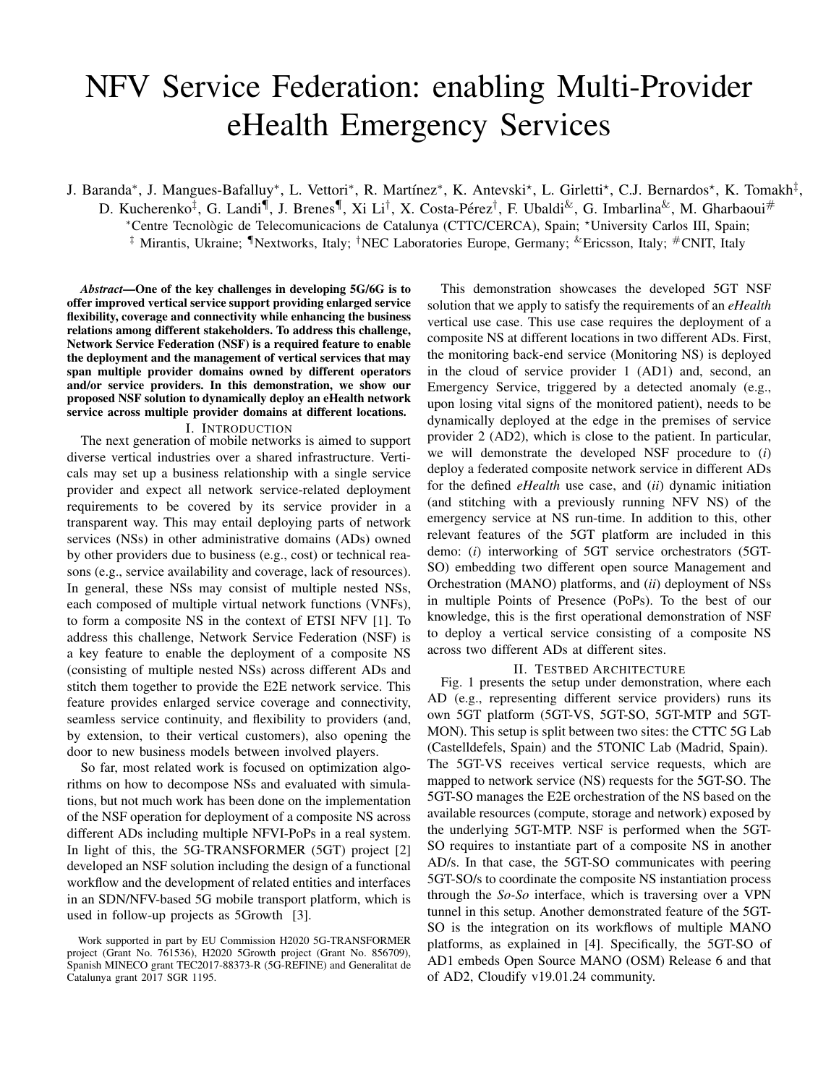# NFV Service Federation: enabling Multi-Provider eHealth Emergency Services

J. Baranda\*, J. Mangues-Bafalluy\*, L. Vettori\*, R. Martínez\*, K. Antevski\*, L. Girletti\*, C.J. Bernardos\*, K. Tomakh<sup>‡</sup>, D. Kucherenko<sup>‡</sup>, G. Landi<sup>¶</sup>, J. Brenes<sup>¶</sup>, Xi Li<sup>†</sup>, X. Costa-Pérez<sup>†</sup>, F. Ubaldi<sup>&</sup>, G. Imbarlina<sup>&</sup>, M. Gharbaoui# <sup>∗</sup>Centre Tecnologic de Telecomunicacions de Catalunya (CTTC/CERCA), Spain; ` ?University Carlos III, Spain; ‡ Mirantis, Ukraine; ¶Nextworks, Italy; †NEC Laboratories Europe, Germany; &Ericsson, Italy; #CNIT, Italy

*Abstract*—One of the key challenges in developing 5G/6G is to offer improved vertical service support providing enlarged service flexibility, coverage and connectivity while enhancing the business relations among different stakeholders. To address this challenge, Network Service Federation (NSF) is a required feature to enable the deployment and the management of vertical services that may span multiple provider domains owned by different operators and/or service providers. In this demonstration, we show our proposed NSF solution to dynamically deploy an eHealth network service across multiple provider domains at different locations.

#### I. INTRODUCTION

The next generation of mobile networks is aimed to support diverse vertical industries over a shared infrastructure. Verticals may set up a business relationship with a single service provider and expect all network service-related deployment requirements to be covered by its service provider in a transparent way. This may entail deploying parts of network services (NSs) in other administrative domains (ADs) owned by other providers due to business (e.g., cost) or technical reasons (e.g., service availability and coverage, lack of resources). In general, these NSs may consist of multiple nested NSs, each composed of multiple virtual network functions (VNFs), to form a composite NS in the context of ETSI NFV [1]. To address this challenge, Network Service Federation (NSF) is a key feature to enable the deployment of a composite NS (consisting of multiple nested NSs) across different ADs and stitch them together to provide the E2E network service. This feature provides enlarged service coverage and connectivity, seamless service continuity, and flexibility to providers (and, by extension, to their vertical customers), also opening the door to new business models between involved players.

So far, most related work is focused on optimization algorithms on how to decompose NSs and evaluated with simulations, but not much work has been done on the implementation of the NSF operation for deployment of a composite NS across different ADs including multiple NFVI-PoPs in a real system. In light of this, the 5G-TRANSFORMER (5GT) project [2] developed an NSF solution including the design of a functional workflow and the development of related entities and interfaces in an SDN/NFV-based 5G mobile transport platform, which is used in follow-up projects as 5Growth [3].

This demonstration showcases the developed 5GT NSF solution that we apply to satisfy the requirements of an *eHealth* vertical use case. This use case requires the deployment of a composite NS at different locations in two different ADs. First, the monitoring back-end service (Monitoring NS) is deployed in the cloud of service provider 1 (AD1) and, second, an Emergency Service, triggered by a detected anomaly (e.g., upon losing vital signs of the monitored patient), needs to be dynamically deployed at the edge in the premises of service provider 2 (AD2), which is close to the patient. In particular, we will demonstrate the developed NSF procedure to (*i*) deploy a federated composite network service in different ADs for the defined *eHealth* use case, and (*ii*) dynamic initiation (and stitching with a previously running NFV NS) of the emergency service at NS run-time. In addition to this, other relevant features of the 5GT platform are included in this demo: (*i*) interworking of 5GT service orchestrators (5GT-SO) embedding two different open source Management and Orchestration (MANO) platforms, and (*ii*) deployment of NSs in multiple Points of Presence (PoPs). To the best of our knowledge, this is the first operational demonstration of NSF to deploy a vertical service consisting of a composite NS across two different ADs at different sites.

## II. TESTBED ARCHITECTURE

Fig. 1 presents the setup under demonstration, where each AD (e.g., representing different service providers) runs its own 5GT platform (5GT-VS, 5GT-SO, 5GT-MTP and 5GT-MON). This setup is split between two sites: the CTTC 5G Lab (Castelldefels, Spain) and the 5TONIC Lab (Madrid, Spain). The 5GT-VS receives vertical service requests, which are mapped to network service (NS) requests for the 5GT-SO. The 5GT-SO manages the E2E orchestration of the NS based on the available resources (compute, storage and network) exposed by the underlying 5GT-MTP. NSF is performed when the 5GT-SO requires to instantiate part of a composite NS in another AD/s. In that case, the 5GT-SO communicates with peering 5GT-SO/s to coordinate the composite NS instantiation process through the *So-So* interface, which is traversing over a VPN tunnel in this setup. Another demonstrated feature of the 5GT-SO is the integration on its workflows of multiple MANO platforms, as explained in [4]. Specifically, the 5GT-SO of AD1 embeds Open Source MANO (OSM) Release 6 and that of AD2, Cloudify v19.01.24 community.

Work supported in part by EU Commission H2020 5G-TRANSFORMER project (Grant No. 761536), H2020 5Growth project (Grant No. 856709), Spanish MINECO grant TEC2017-88373-R (5G-REFINE) and Generalitat de Catalunya grant 2017 SGR 1195.